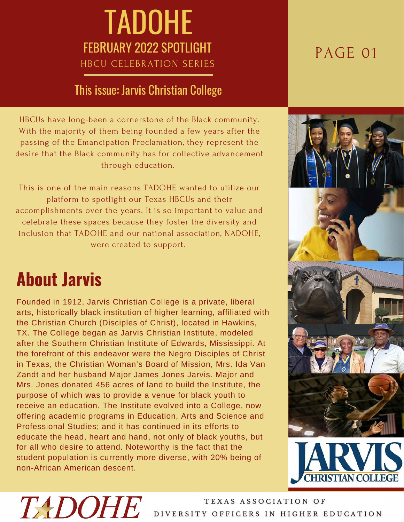### TADOHE FEBRUARY 2022 SPOTLIGHT HBCU CELEBRATION SERIES

#### This issue: Jarvis Christian College

HBCUs have long-been a cornerstone of the Black community. With the majority of them being founded a few years after the passing of the Emancipation Proclamation, they represent the desire that the Black community has for collective advancement through education.

This is one of the main reasons TADOHE wanted to utilize our platform to spotlight our Texas HBCUs and their accomplishments over the years. It is so important to value and celebrate these spaces because they foster the diversity and inclusion that TADOHE and our national association, NADOHE, were created to support.

## **About Jarvis**

Founded in 1912, Jarvis Christian College is a private, liberal arts, historically black institution of higher learning, affiliated with the Christian Church (Disciples of Christ), located in Hawkins, TX. The College began as Jarvis Christian Institute, modeled after the Southern Christian Institute of Edwards, Mississippi. At the forefront of this endeavor were the Negro Disciples of Christ in Texas, the Christian Woman's Board of Mission, Mrs. Ida Van Zandt and her husband Major James Jones Jarvis. Major and Mrs. Jones donated 456 acres of land to build the Institute, the purpose of which was to provide a venue for black youth to receive an education. The Institute evolved into a College, now offering academic programs in Education, Arts and Science and Professional Studies; and it has continued in its efforts to educate the head, heart and hand, not only of black youths, but for all who desire to attend. Noteworthy is the fact that the student population is currently more diverse, with 20% being of non-African American descent.

### PAGE 01





# **TADOHE**

TEXAS ASSOCIATION OF DIVERSITY OFFICERS IN HIGHER EDUCATION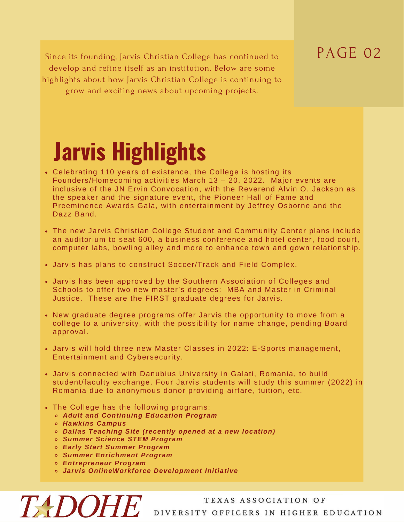### PAGE 02

Since its founding, Jarvis Christian College has continued to develop and refine itself as an institution. Below are some highlights about how Jarvis Christian College is continuing to grow and exciting news about upcoming projects.

# **Jarvis Highlights**

- Celebrating 110 years of existence, the College is hosting its Founders/Homecoming activities March 13 – 20, 2022. Major events are inclusive of the JN Ervin Convocation, with the Reverend Alvin O. Jackson as the speaker and the signature event, the Pioneer Hall of Fame and Preeminence Awards Gala, with entertainment by Jeffrey Osborne and the Dazz Band.
- The new Jarvis Christian College Student and Community Center plans include an auditorium to seat 600, a business conference and hotel center, food court, computer labs, bowling alley and more to enhance town and gown relationship.
- Jarvis has plans to construct Soccer/Track and Field Complex.
- Jarvis has been approved by the Southern Association of Colleges and Schools to offer two new master's degrees: MBA and Master in Criminal Justice. These are the FIRST graduate degrees for Jarvis.
- New graduate degree programs offer Jarvis the opportunity to move from a college to a university, with the possibility for name change, pending Board approval.
- Jarvis will hold three new Master Classes in 2022: E-Sports management, Entertainment and Cybersecurity.
- Jarvis connected with Danubius University in Galati, Romania, to build student/faculty exchange. Four Jarvis students will study this summer (2022) in Romania due to anonymous donor providing airfare, tuition, etc.
- The College has the following programs:
	- *Adult and Continuing Education Program*
	- *Hawkins Campus*

**TADOHE** 

- *Dallas Teaching Site (recently opened at a new location)*
- *Summer Science STEM Program*
- *Early Start Summer Program*
- *Summer Enrichment Program*
- *Entrepreneur Program*
- *Jarvis OnlineWorkforce Development Initiative*

#### TEXAS ASSOCIATION OF DIVERSITY OFFICERS IN HIGHER EDUCATION